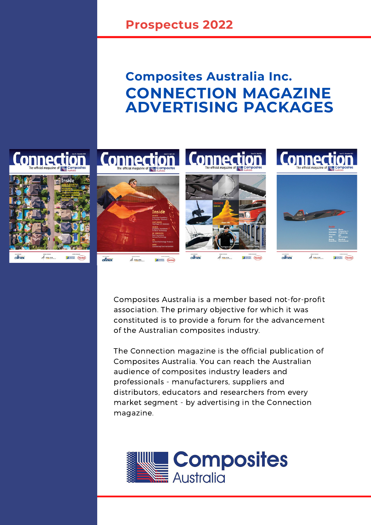# **CONNECTION MAGAZINE ADVERTISING PACKAGES Composites Australia Inc.**



Composites Australia is a member based not-for-profit association. The primary objective for which it was constituted is to provide a forum for the advancement of the Australian composites industry.

The Connection magazine is the official publication of Composites Australia. You can reach the Australian audience of composites industry leaders and professionals - manufacturers, suppliers and distributors, educators and researchers from every market segment - by advertising in the Connection magazine.

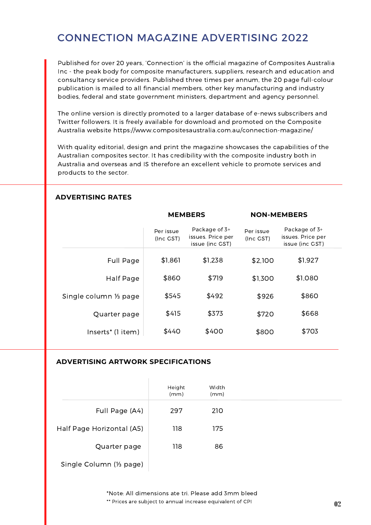## CONNECTION MAGAZINE ADVERTISING 2022

Published for over 20 years, 'Connection' is the official magazine of Composites Australia Inc - the peak body for composite manufacturers, suppliers, research and education and consultancy service providers. Published three times per annum, the 20 page full-colour publication is mailed to all financial members, other key manufacturing and industry bodies, federal and state government ministers, department and agency personnel.

The online version is directly promoted to a larger database of e-news subscribers and Twitter followers. It is freely available for download and promoted on the Composite Australia website <https://www.compositesaustralia.com.au/connection-magazine/>

With quality editorial, design and print the magazine showcases the capabilities of the Australian composites sector. It has credibility with the composite industry both in Australia and overseas and IS therefore an excellent vehicle to promote services and products to the sector.

|                        | <b>MEMBERS</b>         |                                                       | <b>NON-MEMBERS</b>     |                                                       |
|------------------------|------------------------|-------------------------------------------------------|------------------------|-------------------------------------------------------|
|                        | Per issue<br>(Inc GST) | Package of 3+<br>issues. Price per<br>issue (inc GST) | Per issue<br>(Inc GST) | Package of 3+<br>issues. Price per<br>issue (inc GST) |
| Full Page              | \$1,861                | \$1,238                                               | \$2,100                | \$1,927                                               |
| Half Page              | \$860                  | \$719                                                 | \$1,300                | \$1,080                                               |
| Single column 1/3 page | \$545                  | \$492                                                 | \$926                  | \$860                                                 |
| Quarter page           | \$415                  | \$373                                                 | \$720                  | \$668                                                 |
| Inserts* (1 item)      | \$440                  | \$400                                                 | \$800                  | \$703                                                 |

### **ADVERTISING RATES**

#### **ADVERTISING ARTWORK SPECIFICATIONS**

|                           | Height<br>(mm) | Width<br>(mm) |  |
|---------------------------|----------------|---------------|--|
| Full Page (A4)            | 297            | 210           |  |
| Half Page Horizontal (A5) | 118            | 175           |  |
| Quarter page              | 118            | 86            |  |
|                           |                |               |  |

Single Column (⅓ page)

\*Note: All dimensions ate tri. Please add 3mm bleed \*\* Prices are subject to annual increase equivalent of CPI